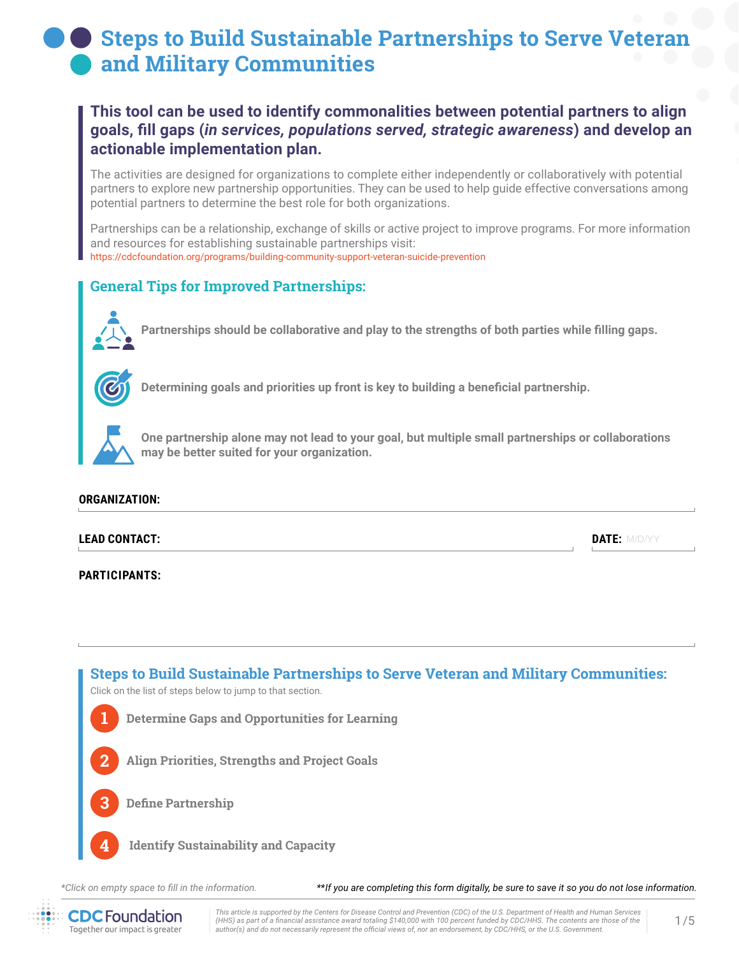# **Steps to Build Sustainable Partnerships to Serve Veteran and Military Communities**

## **This tool can be used to identify commonalities between potential partners to align goals, fill gaps (***in services, populations served, strategic awareness***) and develop an actionable implementation plan.**

The activities are designed for organizations to complete either independently or collaboratively with potential partners to explore new partnership opportunities. They can be used to help guide effective conversations among potential partners to determine the best role for both organizations.

Partnerships can be a relationship, exchange of skills or active project to improve programs. For more information and resources for establishing sustainable partnerships visit: <https://cdcfoundation.org/programs/building-community-support-veteran-suicide-prevention>

## **General Tips for Improved Partnerships:**



**Partnerships should be collaborative and play to the strengths of both parties while filling gaps.**



**Determining goals and priorities up front is key to building a beneficial partnership.**



**One partnership alone may not lead to your goal, but multiple small partnerships or collaborations may be better suited for your organization.**

### **ORGANIZATION:**

### **LEAD CONTACT:**

**PARTICIPANTS:**



*\*Click on empty space to fill in the information.*

*\*\*If you are completing this form digitally, be sure to save it so you do not lose information.*



*This article is supported by the Centers for Disease Control and Prevention (CDC) of the U.S. Department of Health and Human Services (HHS) as part of a financial assistance award totaling \$140,000 with 100 percent funded by CDC/HHS. The contents are those of the author(s) and do not necessarily represent the official views of, nor an endorsement, by CDC/HHS, or the U.S. Government.*

DATE: M/D/YY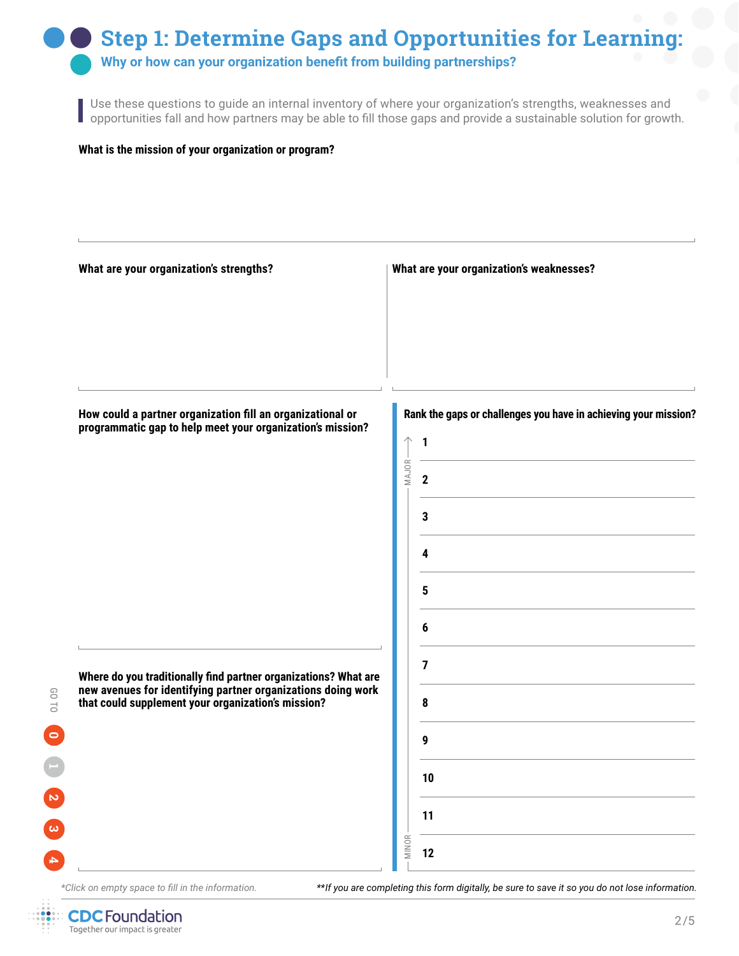# **Step 1: Determine Gaps and Opportunities for Learning:**

**Why or how can your organization benefit from building partnerships?**

Use these questions to guide an internal inventory of where your organization's strengths, weaknesses and opportunities fall and how partners may be able to fill those gaps and provide a sustainable solution for growth.

#### **What is the mission of your organization or program?**



*\*Click on empty space to fill in the information.*

*\*\*If you are completing this form digitally, be sure to save it so you do not lose information.*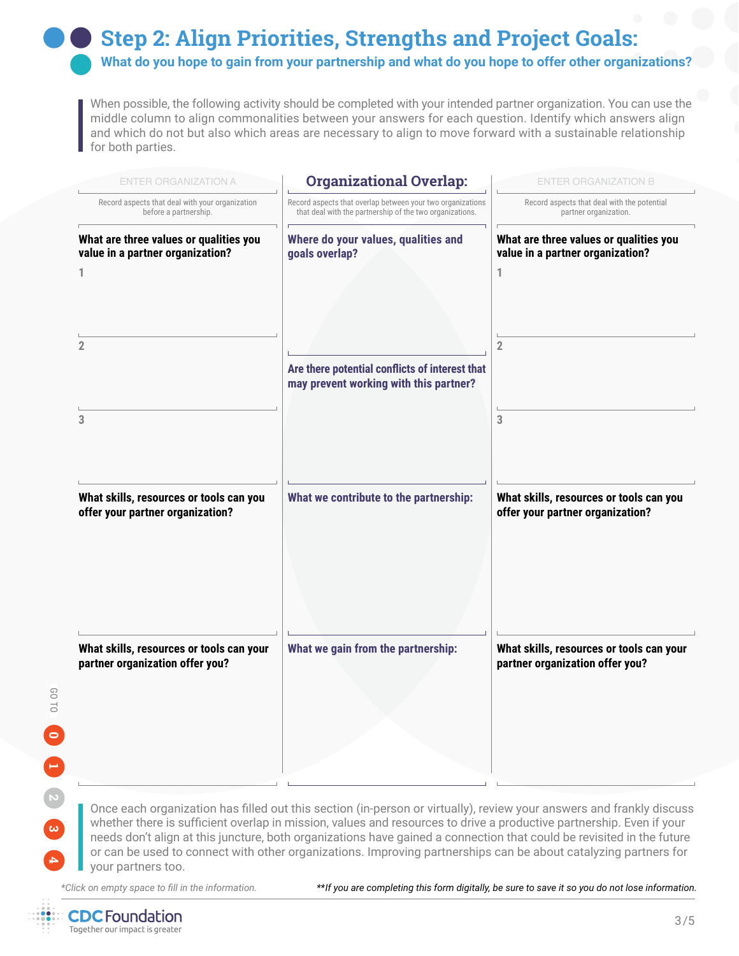## **Step 2: Align Priorities, Strengths and Project Goals:**

**What do you hope to gain from your partnership and what do you hope to offer other organizations?**

When possible, the following activity should be completed with your intended partner organization. You can use the middle column to align commonalities between your answers for each question. Identify which answers align and which do not but also which areas are necessary to align to move forward with a sustainable relationship for both parties.

| <b>ENTER ORGANIZATION A</b>                                                 | <b>Organizational Overlap:</b>                                                                                         | <b>ENTER ORGANIZATION B</b>                                                 |
|-----------------------------------------------------------------------------|------------------------------------------------------------------------------------------------------------------------|-----------------------------------------------------------------------------|
| Record aspects that deal with your organization<br>before a partnership.    | Record aspects that overlap between your two organizations<br>that deal with the partnership of the two organizations. | Record aspects that deal with the potential<br>partner organization.        |
| What are three values or qualities you<br>value in a partner organization?  | Where do your values, qualities and<br>goals overlap?                                                                  | What are three values or qualities you<br>value in a partner organization?  |
| 1                                                                           |                                                                                                                        | 1                                                                           |
| 2                                                                           |                                                                                                                        | $\overline{2}$                                                              |
|                                                                             | Are there potential conflicts of interest that<br>may prevent working with this partner?                               |                                                                             |
| 3                                                                           |                                                                                                                        | 3                                                                           |
| What skills, resources or tools can you                                     | What we contribute to the partnership:                                                                                 | What skills, resources or tools can you                                     |
| offer your partner organization?                                            |                                                                                                                        | offer your partner organization?                                            |
|                                                                             |                                                                                                                        |                                                                             |
|                                                                             |                                                                                                                        |                                                                             |
| What skills, resources or tools can your<br>partner organization offer you? | What we gain from the partnership:                                                                                     | What skills, resources or tools can your<br>partner organization offer you? |
|                                                                             |                                                                                                                        |                                                                             |
|                                                                             |                                                                                                                        |                                                                             |
|                                                                             |                                                                                                                        |                                                                             |

Once each organization has filled out this section (in-person or virtually), review your answers and frankly discuss whether there is sufficient overlap in mission, values and resources to drive a productive partnership. Even if your needs don't align at this juncture, both organizations have gained a connection that could be revisited in the future or can be used to connect with other organizations. Improving partnerships can be about catalyzing partners for your partners too.

*\*Click on empty space to fill in the information.*

*\*\*If you are completing this form digitally, be sure to save it so you do not lose information.*



**1 0**

**COTO** 

**4** GO TO **2**

**3**

 $\blacksquare$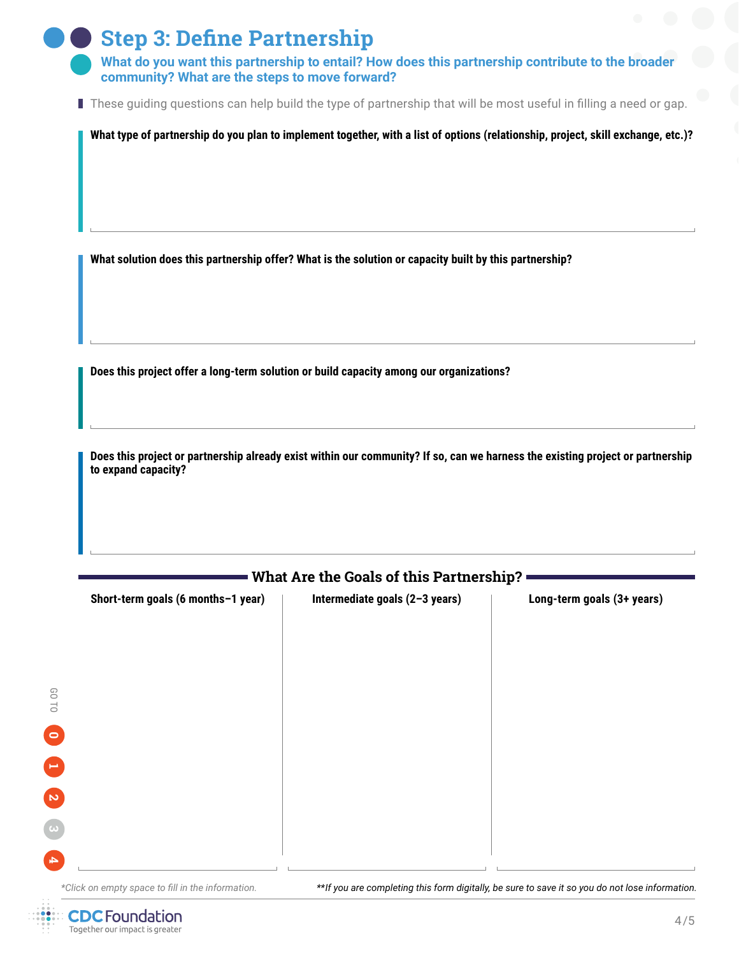| Step 3: Define Partnership                                                             |
|----------------------------------------------------------------------------------------|
| . AMban ala secologian del consumendo del conte del contello Harris de contele a monte |

**What do you want this partnership to entail? How does this partnership contribute to the broader community? What are the steps to move forward?**

These guiding questions can help build the type of partnership that will be most useful in filling a need or gap.

**What type of partnership do you plan to implement together, with a list of options (relationship, project, skill exchange, etc.)?**

**What solution does this partnership offer? What is the solution or capacity built by this partnership?**

**Does this project offer a long-term solution or build capacity among our organizations?**

**CDC** Foundation Together our impact is greater

**Does this project or partnership already exist within our community? If so, can we harness the existing project or partnership to expand capacity?**

| Short-term goals (6 months-1 year)                | Intermediate goals (2-3 years)                                                                   | Long-term goals (3+ years) |
|---------------------------------------------------|--------------------------------------------------------------------------------------------------|----------------------------|
|                                                   |                                                                                                  |                            |
|                                                   |                                                                                                  |                            |
|                                                   |                                                                                                  |                            |
|                                                   |                                                                                                  |                            |
|                                                   |                                                                                                  |                            |
|                                                   |                                                                                                  |                            |
|                                                   |                                                                                                  |                            |
|                                                   |                                                                                                  |                            |
|                                                   |                                                                                                  |                            |
|                                                   |                                                                                                  |                            |
|                                                   |                                                                                                  |                            |
|                                                   |                                                                                                  |                            |
|                                                   |                                                                                                  |                            |
|                                                   |                                                                                                  |                            |
|                                                   |                                                                                                  |                            |
|                                                   |                                                                                                  |                            |
|                                                   |                                                                                                  |                            |
| *Click on empty space to fill in the information. | ** If you are completing this form digitally, be sure to save it so you do not lose information. |                            |